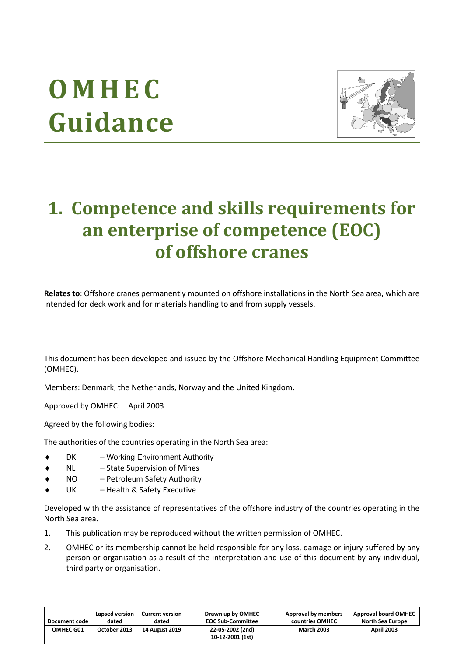# **O M H E C Guidance**



## **1. Competence and skills requirements for an enterprise of competence (EOC) of offshore cranes**

**Relates to**: Offshore cranes permanently mounted on offshore installations in the North Sea area, which are intended for deck work and for materials handling to and from supply vessels.

This document has been developed and issued by the Offshore Mechanical Handling Equipment Committee (OMHEC).

Members: Denmark, the Netherlands, Norway and the United Kingdom.

Approved by OMHEC: April 2003

Agreed by the following bodies:

The authorities of the countries operating in the North Sea area:

- DK Working Environment Authority
- NL State Supervision of Mines
- NO Petroleum Safety Authority
- UK Health & Safety Executive

Developed with the assistance of representatives of the offshore industry of the countries operating in the North Sea area.

- 1. This publication may be reproduced without the written permission of OMHEC.
- 2. OMHEC or its membership cannot be held responsible for any loss, damage or injury suffered by any person or organisation as a result of the interpretation and use of this document by any individual, third party or organisation.

| Document code | Lapsed version | <b>Current version</b> | Drawn up by OMHEC                    | Approval by members | <b>Approval board OMHEC</b> |
|---------------|----------------|------------------------|--------------------------------------|---------------------|-----------------------------|
|               | dated          | dated                  | <b>EOC Sub-Committee</b>             | countries OMHEC     | North Sea Europe            |
| OMHEC G01     | October 2013   | 14 August 2019         | 22-05-2002 (2nd)<br>10-12-2001 (1st) | <b>March 2003</b>   | <b>April 2003</b>           |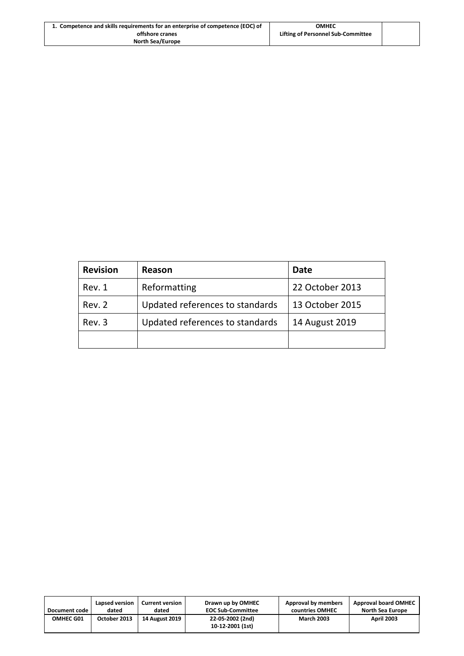| 1. Competence and skills requirements for an enterprise of competence (EOC) of | <b>OMHEC</b>                       |  |
|--------------------------------------------------------------------------------|------------------------------------|--|
| offshore cranes                                                                | Lifting of Personnel Sub-Committee |  |
| North Sea/Europe                                                               |                                    |  |

| <b>Revision</b> | Reason                          | Date            |
|-----------------|---------------------------------|-----------------|
| Rev. 1          | Reformatting                    | 22 October 2013 |
| Rev. 2          | Updated references to standards | 13 October 2015 |
| Rev. 3          | Updated references to standards | 14 August 2019  |
|                 |                                 |                 |

| Document code    | Lapsed version | <b>Current version</b> | Drawn up by OMHEC                    | Approval by members | <b>Approval board OMHEC</b> |
|------------------|----------------|------------------------|--------------------------------------|---------------------|-----------------------------|
|                  | dated          | dated                  | <b>EOC Sub-Committee</b>             | countries OMHEC     | North Sea Europe            |
| <b>OMHEC G01</b> | October 2013   | <b>14 August 2019</b>  | 22-05-2002 (2nd)<br>10-12-2001 (1st) | <b>March 2003</b>   | <b>April 2003</b>           |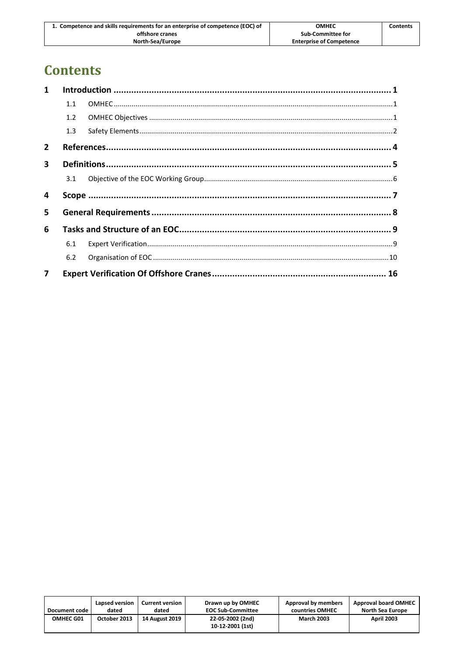| 1. Competence and skills requirements for an enterprise of competence (EOC) of | <b>OMHEC</b>                    | <b>Contents</b> |
|--------------------------------------------------------------------------------|---------------------------------|-----------------|
| offshore cranes                                                                | Sub-Committee for               |                 |
| North-Sea/Europe                                                               | <b>Enterprise of Competence</b> |                 |

## **Contents**

| $\mathbf{1}$            |     |  |
|-------------------------|-----|--|
|                         | 1.1 |  |
|                         | 1.2 |  |
|                         | 1.3 |  |
| $\overline{2}$          |     |  |
| $\mathbf{3}$            |     |  |
|                         | 3.1 |  |
| 4                       |     |  |
| 5.                      |     |  |
| 6                       |     |  |
|                         | 6.1 |  |
|                         | 6.2 |  |
| $\overline{\mathbf{z}}$ |     |  |

| Document code    | Lapsed version | <b>Current version</b> | Drawn up by OMHEC                    | Approval by members | <b>Approval board OMHEC</b> |
|------------------|----------------|------------------------|--------------------------------------|---------------------|-----------------------------|
|                  | dated          | dated                  | <b>EOC Sub-Committee</b>             | countries OMHEC     | North Sea Europe            |
| <b>OMHEC G01</b> | October 2013   | <b>14 August 2019</b>  | 22-05-2002 (2nd)<br>10-12-2001 (1st) | <b>March 2003</b>   | <b>April 2003</b>           |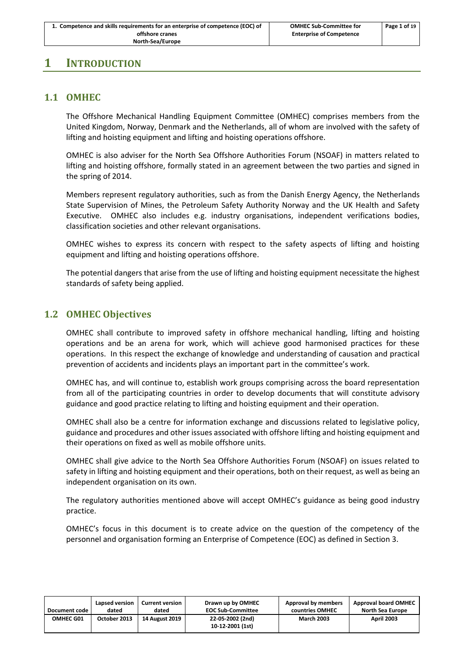## <span id="page-3-1"></span><span id="page-3-0"></span>**1 INTRODUCTION**

## **1.1 OMHEC**

The Offshore Mechanical Handling Equipment Committee (OMHEC) comprises members from the United Kingdom, Norway, Denmark and the Netherlands, all of whom are involved with the safety of lifting and hoisting equipment and lifting and hoisting operations offshore.

OMHEC is also adviser for the North Sea Offshore Authorities Forum (NSOAF) in matters related to lifting and hoisting offshore, formally stated in an agreement between the two parties and signed in the spring of 2014.

Members represent regulatory authorities, such as from the Danish Energy Agency, the Netherlands State Supervision of Mines, the Petroleum Safety Authority Norway and the UK Health and Safety Executive. OMHEC also includes e.g. industry organisations, independent verifications bodies, classification societies and other relevant organisations.

OMHEC wishes to express its concern with respect to the safety aspects of lifting and hoisting equipment and lifting and hoisting operations offshore.

The potential dangers that arise from the use of lifting and hoisting equipment necessitate the highest standards of safety being applied.

## <span id="page-3-2"></span>**1.2 OMHEC Objectives**

OMHEC shall contribute to improved safety in offshore mechanical handling, lifting and hoisting operations and be an arena for work, which will achieve good harmonised practices for these operations. In this respect the exchange of knowledge and understanding of causation and practical prevention of accidents and incidents plays an important part in the committee's work.

OMHEC has, and will continue to, establish work groups comprising across the board representation from all of the participating countries in order to develop documents that will constitute advisory guidance and good practice relating to lifting and hoisting equipment and their operation.

OMHEC shall also be a centre for information exchange and discussions related to legislative policy, guidance and procedures and other issues associated with offshore lifting and hoisting equipment and their operations on fixed as well as mobile offshore units.

OMHEC shall give advice to the North Sea Offshore Authorities Forum (NSOAF) on issues related to safety in lifting and hoisting equipment and their operations, both on their request, as well as being an independent organisation on its own.

The regulatory authorities mentioned above will accept OMHEC's guidance as being good industry practice.

OMHEC's focus in this document is to create advice on the question of the competency of the personnel and organisation forming an Enterprise of Competence (EOC) as defined in Section 3.

| Document code | Lapsed version | <b>Current version</b> | Drawn up by OMHEC                    | Approval by members | <b>Approval board OMHEC</b> |
|---------------|----------------|------------------------|--------------------------------------|---------------------|-----------------------------|
|               | dated          | dated                  | <b>EOC Sub-Committee</b>             | countries OMHEC     | North Sea Europe            |
| OMHEC G01     | October 2013   | <b>14 August 2019</b>  | 22-05-2002 (2nd)<br>10-12-2001 (1st) | <b>March 2003</b>   | <b>April 2003</b>           |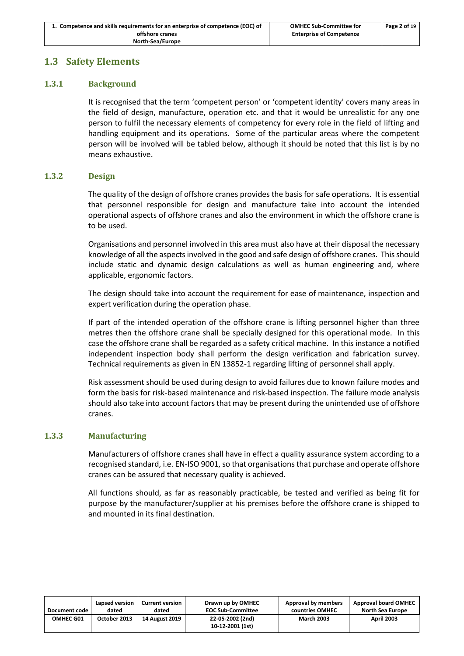## <span id="page-4-0"></span>**1.3 Safety Elements**

## **1.3.1 Background**

It is recognised that the term 'competent person' or 'competent identity' covers many areas in the field of design, manufacture, operation etc. and that it would be unrealistic for any one person to fulfil the necessary elements of competency for every role in the field of lifting and handling equipment and its operations. Some of the particular areas where the competent person will be involved will be tabled below, although it should be noted that this list is by no means exhaustive.

#### **1.3.2 Design**

The quality of the design of offshore cranes provides the basis for safe operations. It is essential that personnel responsible for design and manufacture take into account the intended operational aspects of offshore cranes and also the environment in which the offshore crane is to be used.

Organisations and personnel involved in this area must also have at their disposal the necessary knowledge of all the aspects involved in the good and safe design of offshore cranes. This should include static and dynamic design calculations as well as human engineering and, where applicable, ergonomic factors.

The design should take into account the requirement for ease of maintenance, inspection and expert verification during the operation phase.

If part of the intended operation of the offshore crane is lifting personnel higher than three metres then the offshore crane shall be specially designed for this operational mode. In this case the offshore crane shall be regarded as a safety critical machine. In this instance a notified independent inspection body shall perform the design verification and fabrication survey. Technical requirements as given in EN 13852-1 regarding lifting of personnel shall apply.

Risk assessment should be used during design to avoid failures due to known failure modes and form the basis for risk-based maintenance and risk-based inspection. The failure mode analysis should also take into account factors that may be present during the unintended use of offshore cranes.

#### **1.3.3 Manufacturing**

Manufacturers of offshore cranes shall have in effect a quality assurance system according to a recognised standard, i.e. EN-ISO 9001, so that organisations that purchase and operate offshore cranes can be assured that necessary quality is achieved.

All functions should, as far as reasonably practicable, be tested and verified as being fit for purpose by the manufacturer/supplier at his premises before the offshore crane is shipped to and mounted in its final destination.

| Document code | Lapsed version | <b>Current version</b> | Drawn up by OMHEC                    | Approval by members | <b>Approval board OMHEC</b> |
|---------------|----------------|------------------------|--------------------------------------|---------------------|-----------------------------|
|               | dated          | dated                  | <b>EOC Sub-Committee</b>             | countries OMHEC     | <b>North Sea Europe</b>     |
| OMHEC G01     | October 2013   | <b>14 August 2019</b>  | 22-05-2002 (2nd)<br>10-12-2001 (1st) | <b>March 2003</b>   | <b>April 2003</b>           |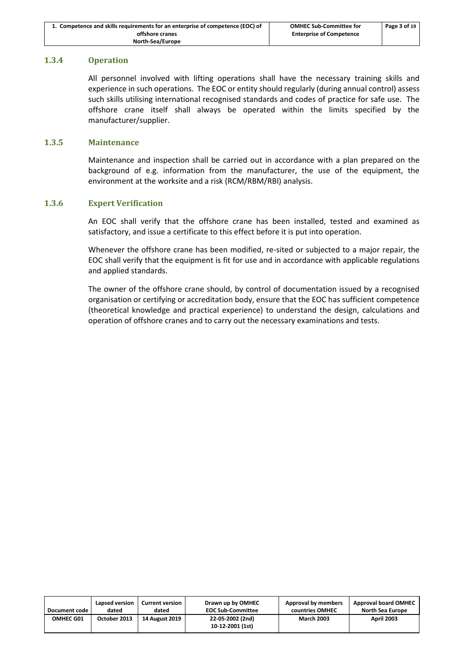| 1. Competence and skills requirements for an enterprise of competence (EOC) of | <b>OMHEC Sub-Committee for</b>  | Page 3 of 19 |
|--------------------------------------------------------------------------------|---------------------------------|--------------|
| offshore cranes                                                                | <b>Enterprise of Competence</b> |              |
| North-Sea/Europe                                                               |                                 |              |

#### **1.3.4 Operation**

All personnel involved with lifting operations shall have the necessary training skills and experience in such operations. The EOC or entity should regularly (during annual control) assess such skills utilising international recognised standards and codes of practice for safe use. The offshore crane itself shall always be operated within the limits specified by the manufacturer/supplier.

#### **1.3.5 Maintenance**

Maintenance and inspection shall be carried out in accordance with a plan prepared on the background of e.g. information from the manufacturer, the use of the equipment, the environment at the worksite and a risk (RCM/RBM/RBI) analysis.

#### **1.3.6 Expert Verification**

An EOC shall verify that the offshore crane has been installed, tested and examined as satisfactory, and issue a certificate to this effect before it is put into operation.

Whenever the offshore crane has been modified, re-sited or subjected to a major repair, the EOC shall verify that the equipment is fit for use and in accordance with applicable regulations and applied standards.

The owner of the offshore crane should, by control of documentation issued by a recognised organisation or certifying or accreditation body, ensure that the EOC has sufficient competence (theoretical knowledge and practical experience) to understand the design, calculations and operation of offshore cranes and to carry out the necessary examinations and tests.

| Document code    | Lapsed version | <b>Current version</b> | Drawn up by OMHEC                    | Approval by members | <b>Approval board OMHEC</b> |
|------------------|----------------|------------------------|--------------------------------------|---------------------|-----------------------------|
|                  | dated          | dated                  | <b>EOC Sub-Committee</b>             | countries OMHEC     | North Sea Europe            |
| <b>OMHEC G01</b> | October 2013   | 14 August 2019         | 22-05-2002 (2nd)<br>10-12-2001 (1st) | <b>March 2003</b>   | <b>April 2003</b>           |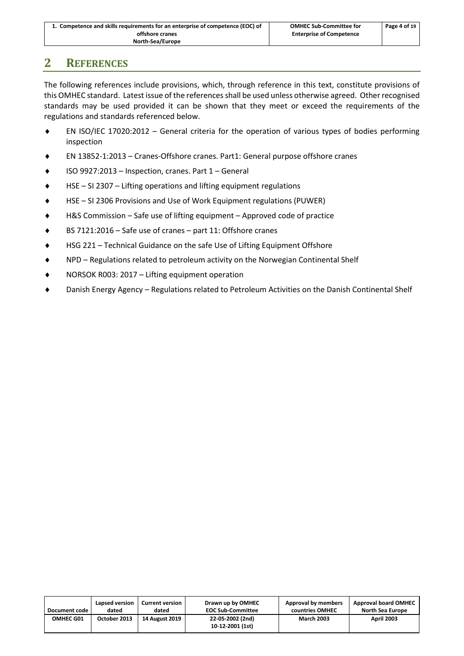| 1. Competence and skills requirements for an enterprise of competence (EOC) of | <b>OMHEC Sub-Committee for</b>  | Page 4 of 19 |
|--------------------------------------------------------------------------------|---------------------------------|--------------|
| offshore cranes                                                                | <b>Enterprise of Competence</b> |              |
| North-Sea/Europe                                                               |                                 |              |

## <span id="page-6-0"></span>**2 REFERENCES**

The following references include provisions, which, through reference in this text, constitute provisions of this OMHEC standard. Latest issue of the references shall be used unless otherwise agreed. Other recognised standards may be used provided it can be shown that they meet or exceed the requirements of the regulations and standards referenced below.

- EN ISO/IEC 17020:2012 General criteria for the operation of various types of bodies performing inspection
- EN 13852-1:2013 Cranes-Offshore cranes. Part1: General purpose offshore cranes
- ISO 9927:2013 Inspection, cranes. Part 1 General
- HSE SI 2307 Lifting operations and lifting equipment regulations
- HSE SI 2306 Provisions and Use of Work Equipment regulations (PUWER)
- H&S Commission Safe use of lifting equipment Approved code of practice
- BS 7121:2016 Safe use of cranes part 11: Offshore cranes
- HSG 221 Technical Guidance on the safe Use of Lifting Equipment Offshore
- NPD Regulations related to petroleum activity on the Norwegian Continental Shelf
- ◆ NORSOK R003: 2017 Lifting equipment operation
- Danish Energy Agency Regulations related to Petroleum Activities on the Danish Continental Shelf

| Document code    | Lapsed version | <b>Current version</b> | Drawn up by OMHEC                    | Approval by members | <b>Approval board OMHEC</b> |
|------------------|----------------|------------------------|--------------------------------------|---------------------|-----------------------------|
|                  | dated          | dated                  | <b>EOC Sub-Committee</b>             | countries OMHEC     | North Sea Europe            |
| <b>OMHEC G01</b> | October 2013   | 14 August 2019         | 22-05-2002 (2nd)<br>10-12-2001 (1st) | <b>March 2003</b>   | <b>April 2003</b>           |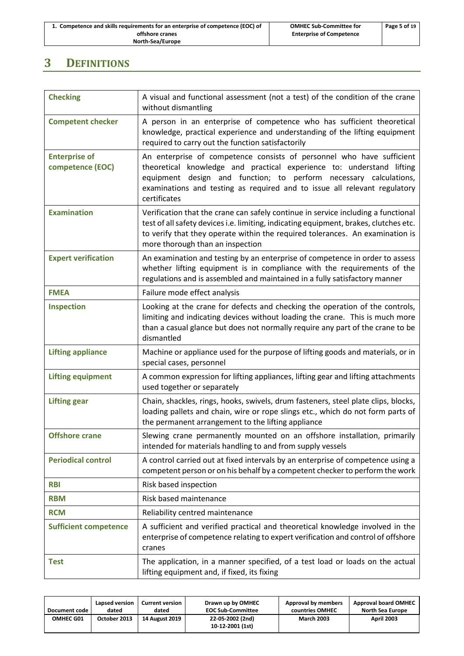| 1. Competence and skills requirements for an enterprise of competence (EOC) of | <b>OMHEC Sub-Committee for</b>  | Page 5 of 19 |
|--------------------------------------------------------------------------------|---------------------------------|--------------|
| offshore cranes                                                                | <b>Enterprise of Competence</b> |              |
| North-Sea/Europe                                                               |                                 |              |

## <span id="page-7-0"></span>**3 DEFINITIONS**

| <b>Checking</b>                          | A visual and functional assessment (not a test) of the condition of the crane<br>without dismantling                                                                                                                                                                                                             |
|------------------------------------------|------------------------------------------------------------------------------------------------------------------------------------------------------------------------------------------------------------------------------------------------------------------------------------------------------------------|
| <b>Competent checker</b>                 | A person in an enterprise of competence who has sufficient theoretical<br>knowledge, practical experience and understanding of the lifting equipment<br>required to carry out the function satisfactorily                                                                                                        |
| <b>Enterprise of</b><br>competence (EOC) | An enterprise of competence consists of personnel who have sufficient<br>theoretical knowledge and practical experience to: understand lifting<br>equipment design and function; to perform necessary calculations,<br>examinations and testing as required and to issue all relevant regulatory<br>certificates |
| <b>Examination</b>                       | Verification that the crane can safely continue in service including a functional<br>test of all safety devices i.e. limiting, indicating equipment, brakes, clutches etc.<br>to verify that they operate within the required tolerances. An examination is<br>more thorough than an inspection                  |
| <b>Expert verification</b>               | An examination and testing by an enterprise of competence in order to assess<br>whether lifting equipment is in compliance with the requirements of the<br>regulations and is assembled and maintained in a fully satisfactory manner                                                                            |
| <b>FMEA</b>                              | Failure mode effect analysis                                                                                                                                                                                                                                                                                     |
| <b>Inspection</b>                        | Looking at the crane for defects and checking the operation of the controls,<br>limiting and indicating devices without loading the crane. This is much more<br>than a casual glance but does not normally require any part of the crane to be<br>dismantled                                                     |
| <b>Lifting appliance</b>                 | Machine or appliance used for the purpose of lifting goods and materials, or in<br>special cases, personnel                                                                                                                                                                                                      |
| <b>Lifting equipment</b>                 | A common expression for lifting appliances, lifting gear and lifting attachments<br>used together or separately                                                                                                                                                                                                  |
| <b>Lifting gear</b>                      | Chain, shackles, rings, hooks, swivels, drum fasteners, steel plate clips, blocks,<br>loading pallets and chain, wire or rope slings etc., which do not form parts of<br>the permanent arrangement to the lifting appliance                                                                                      |
| <b>Offshore crane</b>                    | Slewing crane permanently mounted on an offshore installation, primarily<br>intended for materials handling to and from supply vessels                                                                                                                                                                           |
| <b>Periodical control</b>                | A control carried out at fixed intervals by an enterprise of competence using a<br>competent person or on his behalf by a competent checker to perform the work                                                                                                                                                  |
| <b>RBI</b>                               | Risk based inspection                                                                                                                                                                                                                                                                                            |
| <b>RBM</b>                               | Risk based maintenance                                                                                                                                                                                                                                                                                           |
| <b>RCM</b>                               | Reliability centred maintenance                                                                                                                                                                                                                                                                                  |
| <b>Sufficient competence</b>             | A sufficient and verified practical and theoretical knowledge involved in the<br>enterprise of competence relating to expert verification and control of offshore<br>cranes                                                                                                                                      |
| <b>Test</b>                              | The application, in a manner specified, of a test load or loads on the actual<br>lifting equipment and, if fixed, its fixing                                                                                                                                                                                     |

| Document code | Lapsed version | <b>Current version</b> | Drawn up by OMHEC                    | Approval by members | <b>Approval board OMHEC</b> |
|---------------|----------------|------------------------|--------------------------------------|---------------------|-----------------------------|
|               | dated          | dated                  | <b>EOC Sub-Committee</b>             | countries OMHEC     | <b>North Sea Europe</b>     |
| OMHEC G01     | October 2013   | 14 August 2019         | 22-05-2002 (2nd)<br>10-12-2001 (1st) | <b>March 2003</b>   | <b>April 2003</b>           |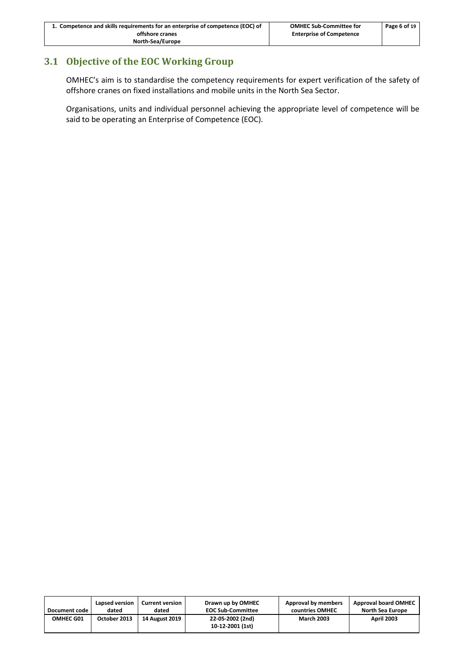| 1. Competence and skills requirements for an enterprise of competence (EOC) of | <b>OMHEC Sub-Committee for</b>  | Page 6 of 19 |
|--------------------------------------------------------------------------------|---------------------------------|--------------|
| offshore cranes                                                                | <b>Enterprise of Competence</b> |              |
| North-Sea/Europe                                                               |                                 |              |

## <span id="page-8-0"></span>**3.1 Objective of the EOC Working Group**

OMHEC's aim is to standardise the competency requirements for expert verification of the safety of offshore cranes on fixed installations and mobile units in the North Sea Sector.

Organisations, units and individual personnel achieving the appropriate level of competence will be said to be operating an Enterprise of Competence (EOC).

| Document code | Lapsed version | <b>Current version</b> | Drawn up by OMHEC                    | Approval by members | <b>Approval board OMHEC</b> |
|---------------|----------------|------------------------|--------------------------------------|---------------------|-----------------------------|
|               | dated          | dated                  | <b>EOC Sub-Committee</b>             | countries OMHEC     | North Sea Europe            |
| OMHEC G01     | October 2013   | <b>14 August 2019</b>  | 22-05-2002 (2nd)<br>10-12-2001 (1st) | <b>March 2003</b>   | <b>April 2003</b>           |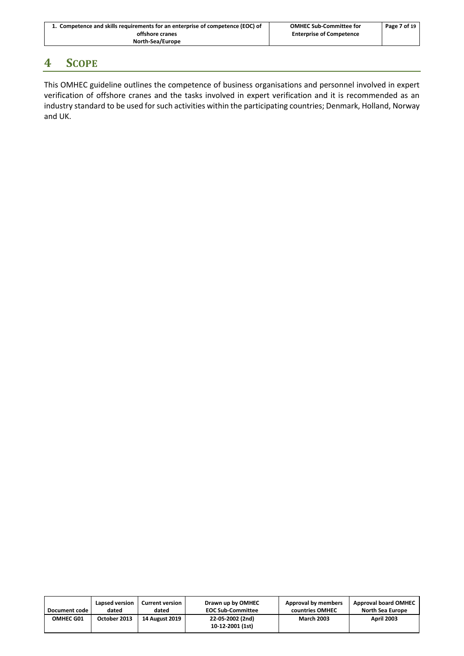| 1. Competence and skills requirements for an enterprise of competence (EOC) of | <b>OMHEC Sub-Committee for</b>  | Page 7 of 19 |
|--------------------------------------------------------------------------------|---------------------------------|--------------|
| offshore cranes                                                                | <b>Enterprise of Competence</b> |              |
| North-Sea/Europe                                                               |                                 |              |

## <span id="page-9-0"></span>**4 SCOPE**

This OMHEC guideline outlines the competence of business organisations and personnel involved in expert verification of offshore cranes and the tasks involved in expert verification and it is recommended as an industry standard to be used for such activities within the participating countries; Denmark, Holland, Norway and UK.

| Document code | Lapsed version | <b>Current version</b> | Drawn up by OMHEC                    | Approval by members | <b>Approval board OMHEC</b> |
|---------------|----------------|------------------------|--------------------------------------|---------------------|-----------------------------|
|               | dated          | dated                  | <b>EOC Sub-Committee</b>             | countries OMHEC     | <b>North Sea Europe</b>     |
| OMHEC G01     | October 2013   | <b>14 August 2019</b>  | 22-05-2002 (2nd)<br>10-12-2001 (1st) | <b>March 2003</b>   | <b>April 2003</b>           |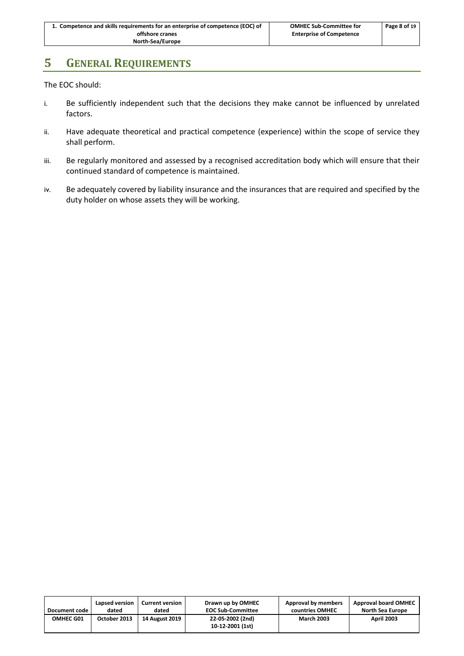## <span id="page-10-0"></span>**5 GENERAL REQUIREMENTS**

The EOC should:

- i. Be sufficiently independent such that the decisions they make cannot be influenced by unrelated factors.
- ii. Have adequate theoretical and practical competence (experience) within the scope of service they shall perform.
- iii. Be regularly monitored and assessed by a recognised accreditation body which will ensure that their continued standard of competence is maintained.
- iv. Be adequately covered by liability insurance and the insurances that are required and specified by the duty holder on whose assets they will be working.

| Document code    | Lapsed version | <b>Current version</b> | Drawn up by OMHEC                    | Approval by members | <b>Approval board OMHEC</b> |
|------------------|----------------|------------------------|--------------------------------------|---------------------|-----------------------------|
|                  | dated          | dated                  | <b>EOC Sub-Committee</b>             | countries OMHEC     | North Sea Europe            |
| <b>OMHEC G01</b> | October 2013   | 14 August 2019         | 22-05-2002 (2nd)<br>10-12-2001 (1st) | <b>March 2003</b>   | <b>April 2003</b>           |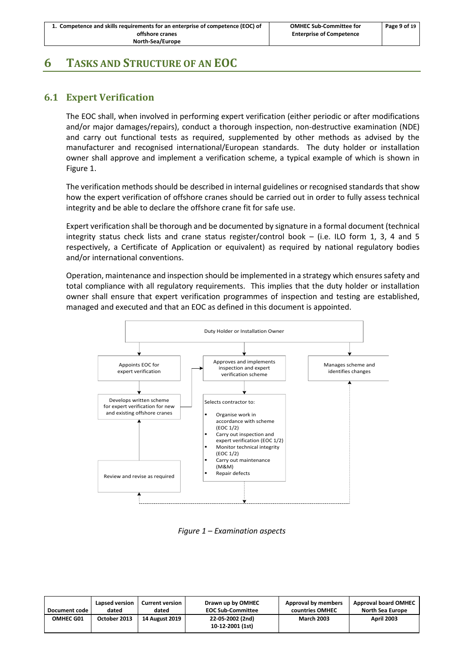## <span id="page-11-1"></span><span id="page-11-0"></span>**6 TASKS AND STRUCTURE OF AN EOC**

## **6.1 Expert Verification**

The EOC shall, when involved in performing expert verification (either periodic or after modifications and/or major damages/repairs), conduct a thorough inspection, non-destructive examination (NDE) and carry out functional tests as required, supplemented by other methods as advised by the manufacturer and recognised international/European standards. The duty holder or installation owner shall approve and implement a verification scheme, a typical example of which is shown in [Figure 1.](#page-11-2)

The verification methods should be described in internal guidelines or recognised standards that show how the expert verification of offshore cranes should be carried out in order to fully assess technical integrity and be able to declare the offshore crane fit for safe use.

Expert verification shall be thorough and be documented by signature in a formal document (technical integrity status check lists and crane status register/control book – (i.e. ILO form 1, 3, 4 and 5 respectively, a Certificate of Application or equivalent) as required by national regulatory bodies and/or international conventions.

Operation, maintenance and inspection should be implemented in a strategy which ensures safety and total compliance with all regulatory requirements. This implies that the duty holder or installation owner shall ensure that expert verification programmes of inspection and testing are established, managed and executed and that an EOC as defined in this document is appointed.



*Figure 1 – Examination aspects*

<span id="page-11-2"></span>

| Document code    | Lapsed version | <b>Current version</b> | Drawn up by OMHEC                    | Approval by members | <b>Approval board OMHEC</b> |
|------------------|----------------|------------------------|--------------------------------------|---------------------|-----------------------------|
|                  | dated          | dated                  | <b>EOC Sub-Committee</b>             | countries OMHEC     | North Sea Europe            |
| <b>OMHEC G01</b> | October 2013   | <b>14 August 2019</b>  | 22-05-2002 (2nd)<br>10-12-2001 (1st) | <b>March 2003</b>   | <b>April 2003</b>           |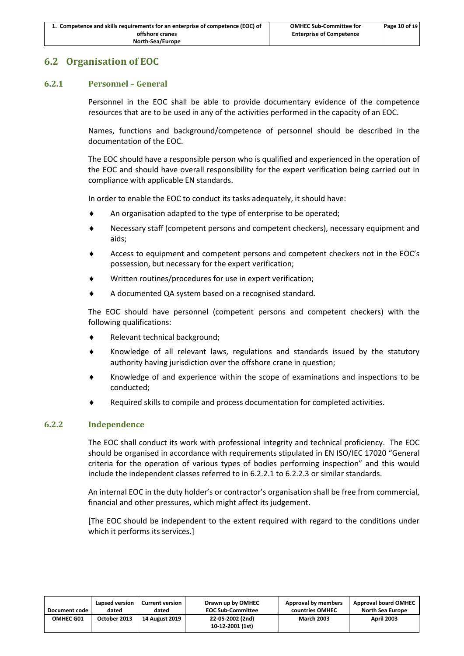## <span id="page-12-0"></span>**6.2 Organisation of EOC**

## **6.2.1 Personnel – General**

Personnel in the EOC shall be able to provide documentary evidence of the competence resources that are to be used in any of the activities performed in the capacity of an EOC.

Names, functions and background/competence of personnel should be described in the documentation of the EOC.

The EOC should have a responsible person who is qualified and experienced in the operation of the EOC and should have overall responsibility for the expert verification being carried out in compliance with applicable EN standards.

In order to enable the EOC to conduct its tasks adequately, it should have:

- An organisation adapted to the type of enterprise to be operated;
- Necessary staff (competent persons and competent checkers), necessary equipment and aids;
- Access to equipment and competent persons and competent checkers not in the EOC's possession, but necessary for the expert verification;
- Written routines/procedures for use in expert verification;
- A documented QA system based on a recognised standard.

The EOC should have personnel (competent persons and competent checkers) with the following qualifications:

- Relevant technical background;
- Knowledge of all relevant laws, regulations and standards issued by the statutory authority having jurisdiction over the offshore crane in question;
- Knowledge of and experience within the scope of examinations and inspections to be conducted;
- Required skills to compile and process documentation for completed activities.

## **6.2.2 Independence**

The EOC shall conduct its work with professional integrity and technical proficiency. The EOC should be organised in accordance with requirements stipulated in EN ISO/IEC 17020 "General criteria for the operation of various types of bodies performing inspection" and this would include the independent classes referred to in [6.2.2.1](#page-13-0) to [6.2.2.3](#page-13-1) or similar standards.

An internal EOC in the duty holder's or contractor's organisation shall be free from commercial, financial and other pressures, which might affect its judgement.

[The EOC should be independent to the extent required with regard to the conditions under which it performs its services.]

| Document code | Lapsed version | <b>Current version</b> | Drawn up by OMHEC                    | Approval by members | <b>Approval board OMHEC</b> |
|---------------|----------------|------------------------|--------------------------------------|---------------------|-----------------------------|
|               | dated          | dated                  | <b>EOC Sub-Committee</b>             | countries OMHEC     | <b>North Sea Europe</b>     |
| OMHEC G01     | October 2013   | <b>14 August 2019</b>  | 22-05-2002 (2nd)<br>10-12-2001 (1st) | <b>March 2003</b>   | <b>April 2003</b>           |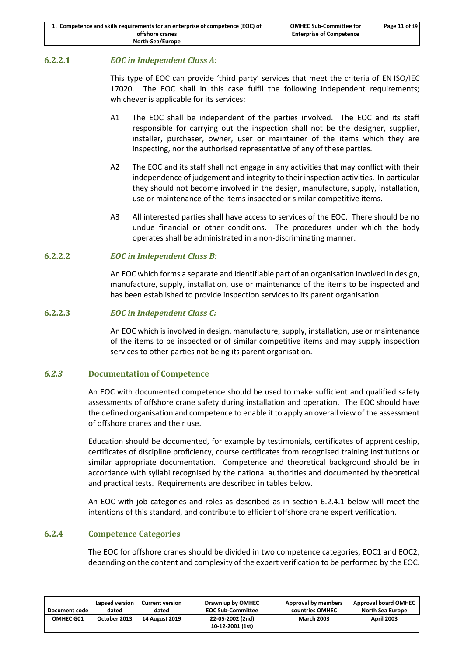## <span id="page-13-0"></span>**6.2.2.1** *EOC in Independent Class A:*

This type of EOC can provide 'third party' services that meet the criteria of EN ISO/IEC 17020. The EOC shall in this case fulfil the following independent requirements; whichever is applicable for its services:

- A1 The EOC shall be independent of the parties involved. The EOC and its staff responsible for carrying out the inspection shall not be the designer, supplier, installer, purchaser, owner, user or maintainer of the items which they are inspecting, nor the authorised representative of any of these parties.
- A2 The EOC and its staff shall not engage in any activities that may conflict with their independence of judgement and integrity to their inspection activities. In particular they should not become involved in the design, manufacture, supply, installation, use or maintenance of the items inspected or similar competitive items.
- A3 All interested parties shall have access to services of the EOC. There should be no undue financial or other conditions. The procedures under which the body operates shall be administrated in a non-discriminating manner.

## **6.2.2.2** *EOC in Independent Class B:*

An EOC which forms a separate and identifiable part of an organisation involved in design, manufacture, supply, installation, use or maintenance of the items to be inspected and has been established to provide inspection services to its parent organisation.

## <span id="page-13-1"></span>**6.2.2.3** *EOC in Independent Class C:*

An EOC which is involved in design, manufacture, supply, installation, use or maintenance of the items to be inspected or of similar competitive items and may supply inspection services to other parties not being its parent organisation.

## *6.2.3* **Documentation of Competence**

An EOC with documented competence should be used to make sufficient and qualified safety assessments of offshore crane safety during installation and operation. The EOC should have the defined organisation and competence to enable it to apply an overall view of the assessment of offshore cranes and their use.

Education should be documented, for example by testimonials, certificates of apprenticeship, certificates of discipline proficiency, course certificates from recognised training institutions or similar appropriate documentation. Competence and theoretical background should be in accordance with syllabi recognised by the national authorities and documented by theoretical and practical tests. Requirements are described in tables below.

An EOC with job categories and roles as described as in section [6.2.4.1](#page-14-0) below will meet the intentions of this standard, and contribute to efficient offshore crane expert verification.

## **6.2.4 Competence Categories**

The EOC for offshore cranes should be divided in two competence categories, EOC1 and EOC2, depending on the content and complexity of the expert verification to be performed by the EOC.

| Document code    | Lapsed version | <b>Current version</b> | Drawn up by OMHEC                    | Approval by members | <b>Approval board OMHEC</b> |
|------------------|----------------|------------------------|--------------------------------------|---------------------|-----------------------------|
|                  | dated          | dated                  | <b>EOC Sub-Committee</b>             | countries OMHEC     | North Sea Europe            |
| <b>OMHEC G01</b> | October 2013   | <b>14 August 2019</b>  | 22-05-2002 (2nd)<br>10-12-2001 (1st) | <b>March 2003</b>   | <b>April 2003</b>           |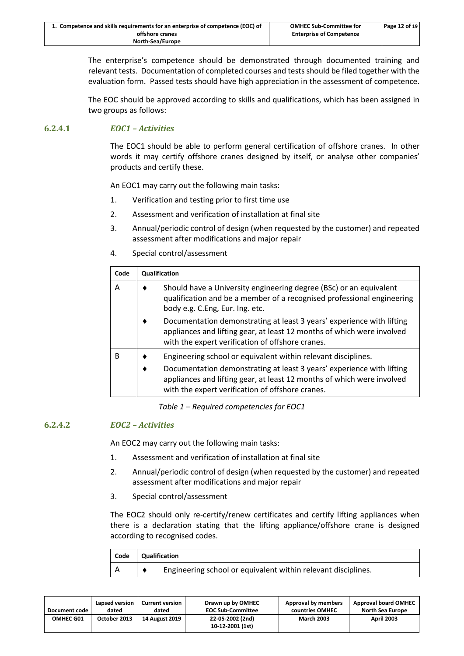| 1. Competence and skills requirements for an enterprise of competence (EOC) of | <b>OMHEC Sub-Committee for</b>  | Page 12 of 19 |
|--------------------------------------------------------------------------------|---------------------------------|---------------|
| offshore cranes                                                                | <b>Enterprise of Competence</b> |               |
| North-Sea/Europe                                                               |                                 |               |

The enterprise's competence should be demonstrated through documented training and relevant tests. Documentation of completed courses and tests should be filed together with the evaluation form. Passed tests should have high appreciation in the assessment of competence.

The EOC should be approved according to skills and qualifications, which has been assigned in two groups as follows:

## <span id="page-14-0"></span>**6.2.4.1** *EOC1 – Activities*

The EOC1 should be able to perform general certification of offshore cranes. In other words it may certify offshore cranes designed by itself, or analyse other companies' products and certify these.

An EOC1 may carry out the following main tasks:

- 1. Verification and testing prior to first time use
- 2. Assessment and verification of installation at final site
- 3. Annual/periodic control of design (when requested by the customer) and repeated assessment after modifications and major repair
- 4. Special control/assessment

| Code |                                                                                                                                                                                 | Qualification                                                                                                                                                                                                                                                        |  |  |  |  |
|------|---------------------------------------------------------------------------------------------------------------------------------------------------------------------------------|----------------------------------------------------------------------------------------------------------------------------------------------------------------------------------------------------------------------------------------------------------------------|--|--|--|--|
| Α    | Should have a University engineering degree (BSc) or an equivalent<br>qualification and be a member of a recognised professional engineering<br>body e.g. C.Eng, Eur. Ing. etc. |                                                                                                                                                                                                                                                                      |  |  |  |  |
|      |                                                                                                                                                                                 | Documentation demonstrating at least 3 years' experience with lifting<br>appliances and lifting gear, at least 12 months of which were involved<br>with the expert verification of offshore cranes.                                                                  |  |  |  |  |
| B    |                                                                                                                                                                                 | Engineering school or equivalent within relevant disciplines.<br>Documentation demonstrating at least 3 years' experience with lifting<br>appliances and lifting gear, at least 12 months of which were involved<br>with the expert verification of offshore cranes. |  |  |  |  |

*Table 1 – Required competencies for EOC1*

#### **6.2.4.2** *EOC2 – Activities*

An EOC2 may carry out the following main tasks:

- 1. Assessment and verification of installation at final site
- 2. Annual/periodic control of design (when requested by the customer) and repeated assessment after modifications and major repair
- 3. Special control/assessment

The EOC2 should only re-certify/renew certificates and certify lifting appliances when there is a declaration stating that the lifting appliance/offshore crane is designed according to recognised codes.

| Code | <b>Qualification</b> |                                                               |  |  |
|------|----------------------|---------------------------------------------------------------|--|--|
| A    |                      | Engineering school or equivalent within relevant disciplines. |  |  |

| Document code | Lapsed version | <b>Current version</b> | Drawn up by OMHEC                    | Approval by members | <b>Approval board OMHEC</b> |
|---------------|----------------|------------------------|--------------------------------------|---------------------|-----------------------------|
|               | dated          | dated                  | <b>EOC Sub-Committee</b>             | countries OMHEC     | North Sea Europe            |
| OMHEC G01     | October 2013   | <b>14 August 2019</b>  | 22-05-2002 (2nd)<br>10-12-2001 (1st) | <b>March 2003</b>   | <b>April 2003</b>           |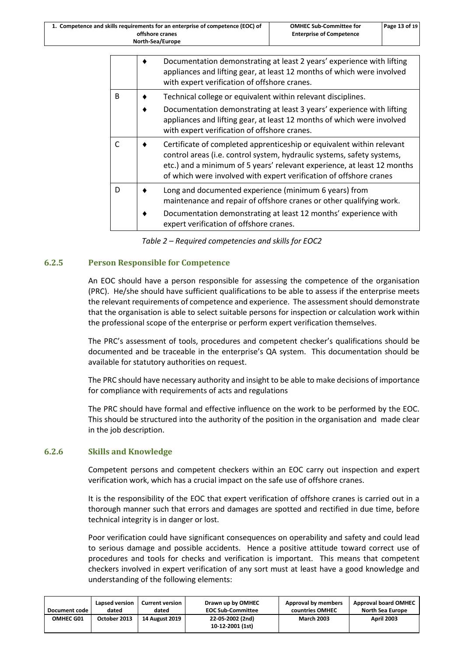|              | Documentation demonstrating at least 2 years' experience with lifting<br>appliances and lifting gear, at least 12 months of which were involved<br>with expert verification of offshore cranes.                                                                                                  |
|--------------|--------------------------------------------------------------------------------------------------------------------------------------------------------------------------------------------------------------------------------------------------------------------------------------------------|
| <sub>B</sub> | Technical college or equivalent within relevant disciplines.                                                                                                                                                                                                                                     |
|              | Documentation demonstrating at least 3 years' experience with lifting<br>appliances and lifting gear, at least 12 months of which were involved<br>with expert verification of offshore cranes.                                                                                                  |
|              | Certificate of completed apprenticeship or equivalent within relevant<br>control areas (i.e. control system, hydraulic systems, safety systems,<br>etc.) and a minimum of 5 years' relevant experience, at least 12 months<br>of which were involved with expert verification of offshore cranes |
| D            | Long and documented experience (minimum 6 years) from<br>maintenance and repair of offshore cranes or other qualifying work.                                                                                                                                                                     |
|              | Documentation demonstrating at least 12 months' experience with<br>expert verification of offshore cranes.                                                                                                                                                                                       |

*Table 2 – Required competencies and skills for EOC2*

### **6.2.5 Person Responsible for Competence**

An EOC should have a person responsible for assessing the competence of the organisation (PRC). He/she should have sufficient qualifications to be able to assess if the enterprise meets the relevant requirements of competence and experience. The assessment should demonstrate that the organisation is able to select suitable persons for inspection or calculation work within the professional scope of the enterprise or perform expert verification themselves.

The PRC's assessment of tools, procedures and competent checker's qualifications should be documented and be traceable in the enterprise's QA system. This documentation should be available for statutory authorities on request.

The PRC should have necessary authority and insight to be able to make decisions of importance for compliance with requirements of acts and regulations

The PRC should have formal and effective influence on the work to be performed by the EOC. This should be structured into the authority of the position in the organisation and made clear in the job description.

#### **6.2.6 Skills and Knowledge**

Competent persons and competent checkers within an EOC carry out inspection and expert verification work, which has a crucial impact on the safe use of offshore cranes.

It is the responsibility of the EOC that expert verification of offshore cranes is carried out in a thorough manner such that errors and damages are spotted and rectified in due time, before technical integrity is in danger or lost.

Poor verification could have significant consequences on operability and safety and could lead to serious damage and possible accidents. Hence a positive attitude toward correct use of procedures and tools for checks and verification is important. This means that competent checkers involved in expert verification of any sort must at least have a good knowledge and understanding of the following elements:

| Document code    | Lapsed version<br>dated | <b>Current version</b><br>dated | Drawn up by OMHEC<br><b>EOC Sub-Committee</b> | Approval by members<br>countries OMHEC | <b>Approval board OMHEC</b><br><b>North Sea Europe</b> |
|------------------|-------------------------|---------------------------------|-----------------------------------------------|----------------------------------------|--------------------------------------------------------|
| <b>OMHEC G01</b> | October 2013            | <b>14 August 2019</b>           | 22-05-2002 (2nd)                              | <b>March 2003</b>                      | <b>April 2003</b>                                      |
|                  |                         |                                 | 10-12-2001 (1st)                              |                                        |                                                        |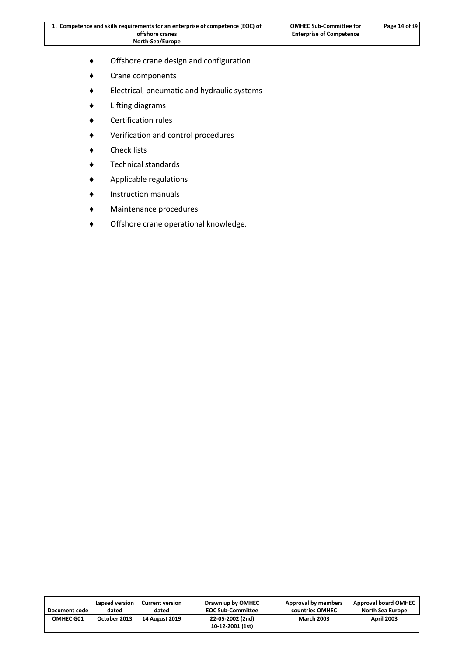| 1. Competence and skills requirements for an enterprise of competence (EOC) of | <b>OMHEC Sub-Committee for</b>  | Page 14 of 19 |
|--------------------------------------------------------------------------------|---------------------------------|---------------|
| offshore cranes                                                                | <b>Enterprise of Competence</b> |               |
| North-Sea/Europe                                                               |                                 |               |

- Offshore crane design and configuration
- Crane components
- Electrical, pneumatic and hydraulic systems
- Lifting diagrams
- Certification rules
- Verification and control procedures
- ◆ Check lists
- Technical standards
- Applicable regulations
- Instruction manuals
- Maintenance procedures
- Offshore crane operational knowledge.

| Document code    | Lapsed version | <b>Current version</b> | Drawn up by OMHEC                    | Approval by members | <b>Approval board OMHEC</b> |
|------------------|----------------|------------------------|--------------------------------------|---------------------|-----------------------------|
|                  | dated          | dated                  | <b>EOC Sub-Committee</b>             | countries OMHEC     | North Sea Europe            |
| <b>OMHEC G01</b> | October 2013   | <b>14 August 2019</b>  | 22-05-2002 (2nd)<br>10-12-2001 (1st) | <b>March 2003</b>   | <b>April 2003</b>           |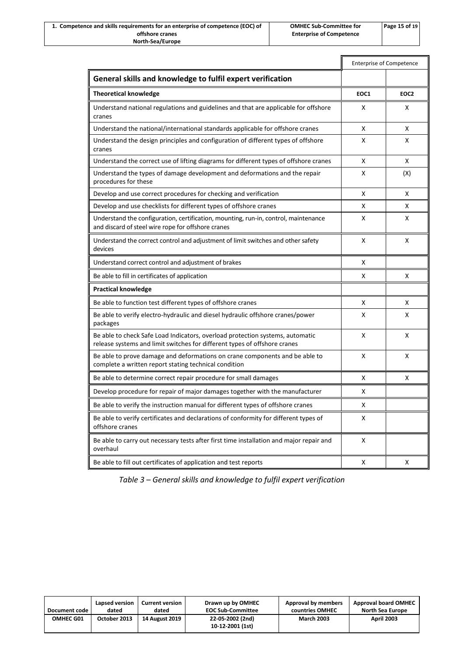|                                                                                                                                                            | <b>Enterprise of Competence</b> |                  |
|------------------------------------------------------------------------------------------------------------------------------------------------------------|---------------------------------|------------------|
| General skills and knowledge to fulfil expert verification                                                                                                 |                                 |                  |
| <b>Theoretical knowledge</b>                                                                                                                               | EOC1                            | EOC <sub>2</sub> |
| Understand national regulations and guidelines and that are applicable for offshore<br>cranes                                                              | X                               | X                |
| Understand the national/international standards applicable for offshore cranes                                                                             | X                               | X                |
| Understand the design principles and configuration of different types of offshore<br>cranes                                                                | X                               | X                |
| Understand the correct use of lifting diagrams for different types of offshore cranes                                                                      | X                               | X                |
| Understand the types of damage development and deformations and the repair<br>procedures for these                                                         | X                               | (X)              |
| Develop and use correct procedures for checking and verification                                                                                           | X                               | X                |
| Develop and use checklists for different types of offshore cranes                                                                                          | X                               | X                |
| Understand the configuration, certification, mounting, run-in, control, maintenance<br>and discard of steel wire rope for offshore cranes                  | X                               | X                |
| Understand the correct control and adjustment of limit switches and other safety<br>devices                                                                | X                               | X                |
| Understand correct control and adjustment of brakes                                                                                                        | X                               |                  |
| Be able to fill in certificates of application                                                                                                             | X                               | X                |
| <b>Practical knowledge</b>                                                                                                                                 |                                 |                  |
| Be able to function test different types of offshore cranes                                                                                                | X                               | X                |
| Be able to verify electro-hydraulic and diesel hydraulic offshore cranes/power<br>packages                                                                 | X                               | X                |
| Be able to check Safe Load Indicators, overload protection systems, automatic<br>release systems and limit switches for different types of offshore cranes | X                               | X                |
| Be able to prove damage and deformations on crane components and be able to<br>complete a written report stating technical condition                       | x                               | X                |
| Be able to determine correct repair procedure for small damages                                                                                            | X                               | X                |
| Develop procedure for repair of major damages together with the manufacturer                                                                               | х                               |                  |
| Be able to verify the instruction manual for different types of offshore cranes                                                                            | X                               |                  |
| Be able to verify certificates and declarations of conformity for different types of<br>offshore cranes                                                    | x                               |                  |
| Be able to carry out necessary tests after first time installation and major repair and<br>overhaul                                                        | x                               |                  |
| Be able to fill out certificates of application and test reports                                                                                           | X                               | X                |

*Table 3 – General skills and knowledge to fulfil expert verification*

| Document code    | Lapsed version | <b>Current version</b> | Drawn up by OMHEC                    | Approval by members | <b>Approval board OMHEC</b> |
|------------------|----------------|------------------------|--------------------------------------|---------------------|-----------------------------|
|                  | dated          | dated                  | <b>EOC Sub-Committee</b>             | countries OMHEC     | North Sea Europe            |
| <b>OMHEC G01</b> | October 2013   | <b>14 August 2019</b>  | 22-05-2002 (2nd)<br>10-12-2001 (1st) | <b>March 2003</b>   | <b>April 2003</b>           |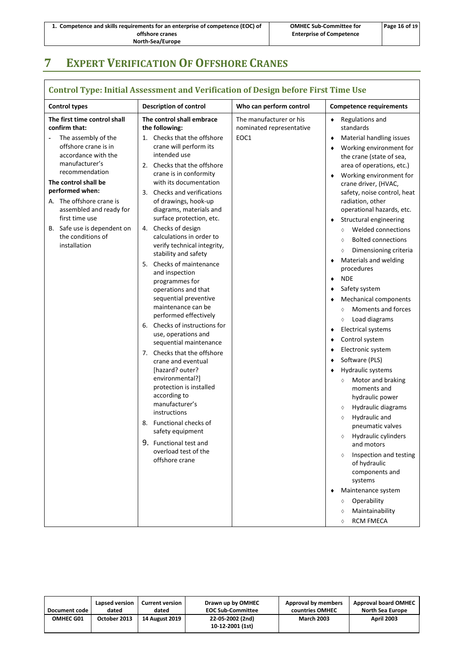## <span id="page-18-0"></span>**7 EXPERT VERIFICATION OF OFFSHORE CRANES**

#### **Control Type: Initial Assessment and Verification of Design before First Time Use Control types Description of control Who can perform control Competence requirements The first time control shall confirm that:** The assembly of the offshore crane is in accordance with the manufacturer's recommendation **The control shall be performed when:** A. The offshore crane is assembled and ready for first time use B. Safe use is dependent on the conditions of installation **The control shall embrace the following:** 1. Checks that the offshore crane will perform its intended use 2. Checks that the offshore crane is in conformity with its documentation 3. Checks and verifications of drawings, hook-up diagrams, materials and surface protection, etc. 4. Checks of design calculations in order to verify technical integrity, stability and safety 5. Checks of maintenance and inspection programmes for operations and that sequential preventive maintenance can be performed effectively 6. Checks of instructions for use, operations and sequential maintenance 7. Checks that the offshore crane and eventual [hazard? outer? environmental?] protection is installed according to manufacturer's instructions 8. Functional checks of safety equipment 9. Functional test and overload test of the offshore crane The manufacturer or his nominated representative EOC1 Regulations and standards Material handling issues Working environment for the crane (state of sea, area of operations, etc.) Working environment for crane driver, (HVAC, safety, noise control, heat radiation, other operational hazards, etc. Structural engineering Welded connections ♦ Bolted connections  $\diamond$  Dimensioning criteria Materials and welding procedures ▲ NDF Safety system Mechanical components Moments and forces  $\diamond$  Load diagrams Electrical systems Control system Electronic system Software (PLS) Hydraulic systems Motor and braking moments and hydraulic power  $\Diamond$  Hydraulic diagrams Hydraulic and pneumatic valves  $\diamond$  Hydraulic cylinders and motors  $\diamond$  Inspection and testing of hydraulic components and systems Maintenance system Operability Maintainability  $\lozenge$  RCM FMECA

| Document code    | Lapsed version | <b>Current version</b> | Drawn up by OMHEC                    | Approval by members | <b>Approval board OMHEC</b> |
|------------------|----------------|------------------------|--------------------------------------|---------------------|-----------------------------|
|                  | dated          | dated                  | <b>EOC Sub-Committee</b>             | countries OMHEC     | North Sea Europe            |
| <b>OMHEC G01</b> | October 2013   | <b>14 August 2019</b>  | 22-05-2002 (2nd)<br>10-12-2001 (1st) | <b>March 2003</b>   | <b>April 2003</b>           |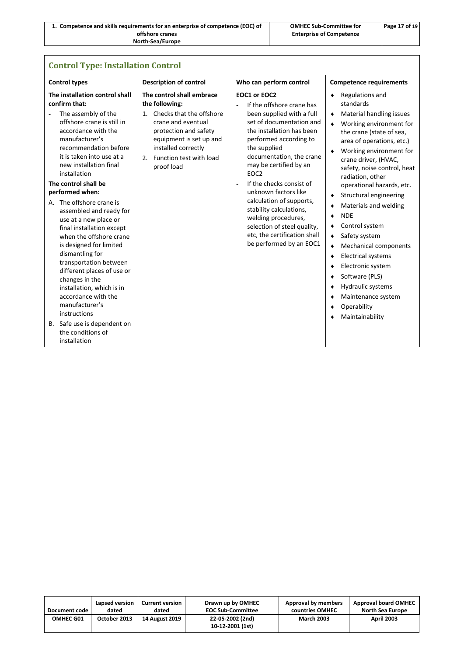| 1. Competence and skills requirements for an enterprise of competence (EOC) of | <b>OMHEC Sub-Committee for</b>  | Page 17 of 19 |
|--------------------------------------------------------------------------------|---------------------------------|---------------|
| offshore cranes                                                                | <b>Enterprise of Competence</b> |               |
| <b>North-Sea/Europe</b>                                                        |                                 |               |

| <b>Control Type: Installation Control</b>                                                                                                                                                                                                                                                                                                                                                                                                                                                                                                                                                                                                                                                                               |                                                                                                                                                                                                                                    |                                                                                                                                                                                                                                                                                                                                                                                                                                                                                                   |                                                                                                                                                                                                                                                                                                                                                                                                                                                                                                                                                                                                                                                 |  |  |
|-------------------------------------------------------------------------------------------------------------------------------------------------------------------------------------------------------------------------------------------------------------------------------------------------------------------------------------------------------------------------------------------------------------------------------------------------------------------------------------------------------------------------------------------------------------------------------------------------------------------------------------------------------------------------------------------------------------------------|------------------------------------------------------------------------------------------------------------------------------------------------------------------------------------------------------------------------------------|---------------------------------------------------------------------------------------------------------------------------------------------------------------------------------------------------------------------------------------------------------------------------------------------------------------------------------------------------------------------------------------------------------------------------------------------------------------------------------------------------|-------------------------------------------------------------------------------------------------------------------------------------------------------------------------------------------------------------------------------------------------------------------------------------------------------------------------------------------------------------------------------------------------------------------------------------------------------------------------------------------------------------------------------------------------------------------------------------------------------------------------------------------------|--|--|
| <b>Control types</b>                                                                                                                                                                                                                                                                                                                                                                                                                                                                                                                                                                                                                                                                                                    | <b>Description of control</b>                                                                                                                                                                                                      | Who can perform control                                                                                                                                                                                                                                                                                                                                                                                                                                                                           | <b>Competence requirements</b>                                                                                                                                                                                                                                                                                                                                                                                                                                                                                                                                                                                                                  |  |  |
| The installation control shall<br>confirm that:<br>The assembly of the<br>-<br>offshore crane is still in<br>accordance with the<br>manufacturer's<br>recommendation before<br>it is taken into use at a<br>new installation final<br>installation<br>The control shall be<br>performed when:<br>A. The offshore crane is<br>assembled and ready for<br>use at a new place or<br>final installation except<br>when the offshore crane<br>is designed for limited<br>dismantling for<br>transportation between<br>different places of use or<br>changes in the<br>installation, which is in<br>accordance with the<br>manufacturer's<br>instructions<br>B. Safe use is dependent on<br>the conditions of<br>installation | The control shall embrace<br>the following:<br>Checks that the offshore<br>$1_{-}$<br>crane and eventual<br>protection and safety<br>equipment is set up and<br>installed correctly<br>Function test with load<br>2.<br>proof load | EOC1 or EOC2<br>If the offshore crane has<br>been supplied with a full<br>set of documentation and<br>the installation has been<br>performed according to<br>the supplied<br>documentation, the crane<br>may be certified by an<br>EOC <sub>2</sub><br>If the checks consist of<br>$\blacksquare$<br>unknown factors like<br>calculation of supports,<br>stability calculations,<br>welding procedures,<br>selection of steel quality,<br>etc, the certification shall<br>be performed by an EOC1 | Regulations and<br>٠<br>standards<br>Material handling issues<br>٠<br>Working environment for<br>the crane (state of sea,<br>area of operations, etc.)<br>Working environment for<br>٠<br>crane driver, (HVAC,<br>safety, noise control, heat<br>radiation, other<br>operational hazards, etc.<br>Structural engineering<br>٠<br>Materials and welding<br>٠<br><b>NDE</b><br>٠<br>Control system<br>٠<br>Safety system<br>٠<br><b>Mechanical components</b><br>٠<br><b>Electrical systems</b><br>٠<br>Electronic system<br>٠<br>Software (PLS)<br>٠<br>Hydraulic systems<br>٠<br>Maintenance system<br>٠<br>Operability<br>٠<br>Maintainability |  |  |

| Document code    | Lapsed version | <b>Current version</b> | Drawn up by OMHEC                    | Approval by members | <b>Approval board OMHEC</b> |
|------------------|----------------|------------------------|--------------------------------------|---------------------|-----------------------------|
|                  | dated          | dated                  | <b>EOC Sub-Committee</b>             | countries OMHEC     | North Sea Europe            |
| <b>OMHEC G01</b> | October 2013   | <b>14 August 2019</b>  | 22-05-2002 (2nd)<br>10-12-2001 (1st) | <b>March 2003</b>   | <b>April 2003</b>           |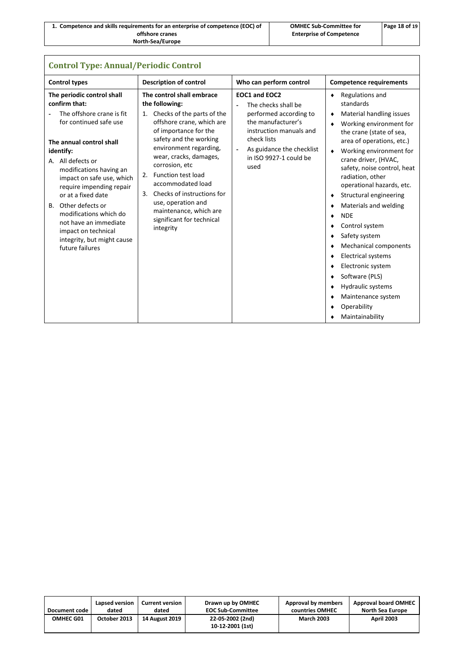| 1. Competence and skills requirements for an enterprise of competence (EOC) of | <b>OMHEC Sub-Committee for</b>  | Page 18 of 19 |
|--------------------------------------------------------------------------------|---------------------------------|---------------|
| offshore cranes                                                                | <b>Enterprise of Competence</b> |               |
| North-Sea/Europe                                                               |                                 |               |

| <b>Control Type: Annual/Periodic Control</b>                                                                                                                                                                                                                                                                                                                                                                                 |                                                                                                                                                                                                                                                                                                                                                                                                                          |                                                                                                                                                                                                                 |                                                                                                                                                                                                                                                                                                                                                                                                                                                                                                                                                                                                                                                             |  |  |
|------------------------------------------------------------------------------------------------------------------------------------------------------------------------------------------------------------------------------------------------------------------------------------------------------------------------------------------------------------------------------------------------------------------------------|--------------------------------------------------------------------------------------------------------------------------------------------------------------------------------------------------------------------------------------------------------------------------------------------------------------------------------------------------------------------------------------------------------------------------|-----------------------------------------------------------------------------------------------------------------------------------------------------------------------------------------------------------------|-------------------------------------------------------------------------------------------------------------------------------------------------------------------------------------------------------------------------------------------------------------------------------------------------------------------------------------------------------------------------------------------------------------------------------------------------------------------------------------------------------------------------------------------------------------------------------------------------------------------------------------------------------------|--|--|
| <b>Control types</b>                                                                                                                                                                                                                                                                                                                                                                                                         | <b>Description of control</b>                                                                                                                                                                                                                                                                                                                                                                                            | Who can perform control                                                                                                                                                                                         | <b>Competence requirements</b>                                                                                                                                                                                                                                                                                                                                                                                                                                                                                                                                                                                                                              |  |  |
| The periodic control shall<br>confirm that:<br>The offshore crane is fit<br>for continued safe use<br>The annual control shall<br>identify:<br>A. All defects or<br>modifications having an<br>impact on safe use, which<br>require impending repair<br>or at a fixed date<br>B. Other defects or<br>modifications which do<br>not have an immediate<br>impact on technical<br>integrity, but might cause<br>future failures | The control shall embrace<br>the following:<br>1. Checks of the parts of the<br>offshore crane, which are<br>of importance for the<br>safety and the working<br>environment regarding,<br>wear, cracks, damages,<br>corrosion, etc<br><b>Function test load</b><br>2.<br>accommodated load<br>Checks of instructions for<br>3.<br>use, operation and<br>maintenance, which are<br>significant for technical<br>integrity | EOC1 and EOC2<br>The checks shall be<br>$\blacksquare$<br>performed according to<br>the manufacturer's<br>instruction manuals and<br>check lists<br>As guidance the checklist<br>in ISO 9927-1 could be<br>used | Regulations and<br>٠<br>standards<br>Material handling issues<br>٠<br>Working environment for<br>٠<br>the crane (state of sea,<br>area of operations, etc.)<br>Working environment for<br>٠<br>crane driver, (HVAC,<br>safety, noise control, heat<br>radiation, other<br>operational hazards, etc.<br>Structural engineering<br>٠<br>Materials and welding<br>٠<br><b>NDE</b><br>٠<br>Control system<br>٠<br>Safety system<br>٠<br><b>Mechanical components</b><br>٠<br><b>Electrical systems</b><br>٠<br>Electronic system<br>٠<br>Software (PLS)<br>٠<br><b>Hydraulic systems</b><br>٠<br>Maintenance system<br>٠<br>Operability<br>٠<br>Maintainability |  |  |

| Document code | Lapsed version | <b>Current version</b> | Drawn up by OMHEC                    | Approval by members | <b>Approval board OMHEC</b> |
|---------------|----------------|------------------------|--------------------------------------|---------------------|-----------------------------|
|               | dated          | dated                  | <b>EOC Sub-Committee</b>             | countries OMHEC     | North Sea Europe            |
| OMHEC G01     | October 2013   | <b>14 August 2019</b>  | 22-05-2002 (2nd)<br>10-12-2001 (1st) | <b>March 2003</b>   | <b>April 2003</b>           |